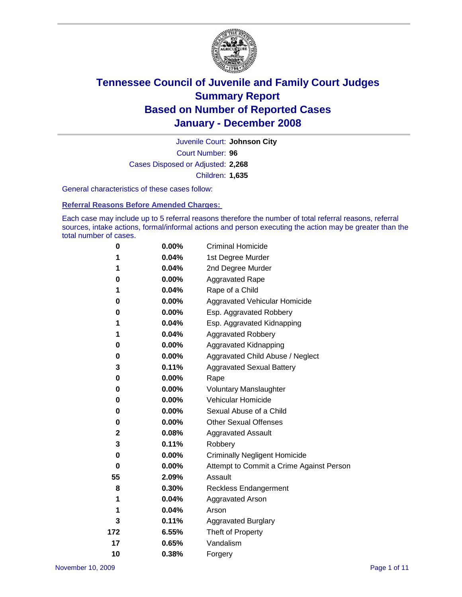

Court Number: **96** Juvenile Court: **Johnson City** Cases Disposed or Adjusted: **2,268** Children: **1,635**

General characteristics of these cases follow:

**Referral Reasons Before Amended Charges:** 

Each case may include up to 5 referral reasons therefore the number of total referral reasons, referral sources, intake actions, formal/informal actions and person executing the action may be greater than the total number of cases.

| 0           | $0.00\%$ | <b>Criminal Homicide</b>                 |
|-------------|----------|------------------------------------------|
| 1           | 0.04%    | 1st Degree Murder                        |
| 1           | 0.04%    | 2nd Degree Murder                        |
| 0           | 0.00%    | <b>Aggravated Rape</b>                   |
| 1           | 0.04%    | Rape of a Child                          |
| 0           | $0.00\%$ | Aggravated Vehicular Homicide            |
| 0           | 0.00%    | Esp. Aggravated Robbery                  |
| 1           | 0.04%    | Esp. Aggravated Kidnapping               |
| 1           | 0.04%    | <b>Aggravated Robbery</b>                |
| 0           | $0.00\%$ | Aggravated Kidnapping                    |
| 0           | 0.00%    | Aggravated Child Abuse / Neglect         |
| 3           | 0.11%    | <b>Aggravated Sexual Battery</b>         |
| 0           | 0.00%    | Rape                                     |
| 0           | 0.00%    | <b>Voluntary Manslaughter</b>            |
| 0           | 0.00%    | Vehicular Homicide                       |
| 0           | 0.00%    | Sexual Abuse of a Child                  |
| 0           | $0.00\%$ | <b>Other Sexual Offenses</b>             |
| $\mathbf 2$ | 0.08%    | <b>Aggravated Assault</b>                |
| 3           | 0.11%    | Robbery                                  |
| 0           | 0.00%    | <b>Criminally Negligent Homicide</b>     |
| 0           | $0.00\%$ | Attempt to Commit a Crime Against Person |
| 55          | 2.09%    | Assault                                  |
| 8           | 0.30%    | <b>Reckless Endangerment</b>             |
| 1           | 0.04%    | <b>Aggravated Arson</b>                  |
| 1           | 0.04%    | Arson                                    |
| 3           | 0.11%    | <b>Aggravated Burglary</b>               |
| 172         | 6.55%    | Theft of Property                        |
| 17          | 0.65%    | Vandalism                                |
| 10          | 0.38%    | Forgery                                  |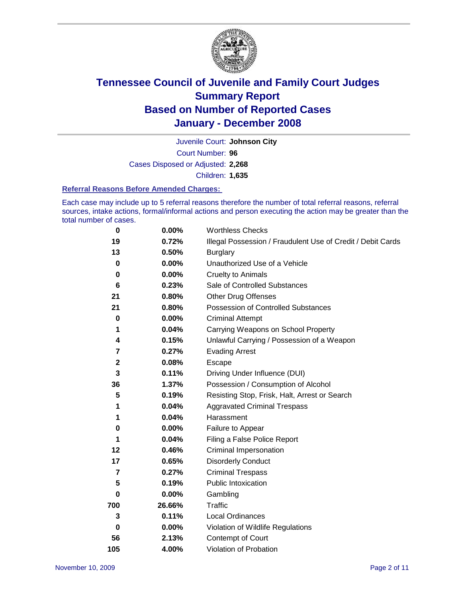

Court Number: **96** Juvenile Court: **Johnson City** Cases Disposed or Adjusted: **2,268** Children: **1,635**

#### **Referral Reasons Before Amended Charges:**

Each case may include up to 5 referral reasons therefore the number of total referral reasons, referral sources, intake actions, formal/informal actions and person executing the action may be greater than the total number of cases.

| $\bf{0}$       | 0.00%    | <b>Worthless Checks</b>                                     |
|----------------|----------|-------------------------------------------------------------|
| 19             | 0.72%    | Illegal Possession / Fraudulent Use of Credit / Debit Cards |
| 13             | 0.50%    | <b>Burglary</b>                                             |
| 0              | $0.00\%$ | Unauthorized Use of a Vehicle                               |
| 0              | 0.00%    | <b>Cruelty to Animals</b>                                   |
| 6              | 0.23%    | Sale of Controlled Substances                               |
| 21             | 0.80%    | <b>Other Drug Offenses</b>                                  |
| 21             | 0.80%    | Possession of Controlled Substances                         |
| 0              | 0.00%    | <b>Criminal Attempt</b>                                     |
| 1              | 0.04%    | Carrying Weapons on School Property                         |
| 4              | 0.15%    | Unlawful Carrying / Possession of a Weapon                  |
| 7              | 0.27%    | <b>Evading Arrest</b>                                       |
| $\mathbf{2}$   | 0.08%    | Escape                                                      |
| 3              | 0.11%    | Driving Under Influence (DUI)                               |
| 36             | 1.37%    | Possession / Consumption of Alcohol                         |
| 5              | 0.19%    | Resisting Stop, Frisk, Halt, Arrest or Search               |
| 1              | 0.04%    | <b>Aggravated Criminal Trespass</b>                         |
| 1              | 0.04%    | Harassment                                                  |
| 0              | 0.00%    | Failure to Appear                                           |
| 1              | 0.04%    | Filing a False Police Report                                |
| 12             | 0.46%    | Criminal Impersonation                                      |
| 17             | 0.65%    | <b>Disorderly Conduct</b>                                   |
| $\overline{7}$ | 0.27%    | <b>Criminal Trespass</b>                                    |
| 5              | 0.19%    | <b>Public Intoxication</b>                                  |
| 0              | 0.00%    | Gambling                                                    |
| 700            | 26.66%   | Traffic                                                     |
| 3              | 0.11%    | <b>Local Ordinances</b>                                     |
| $\mathbf 0$    | $0.00\%$ | Violation of Wildlife Regulations                           |
| 56             | 2.13%    | Contempt of Court                                           |
| 105            | 4.00%    | Violation of Probation                                      |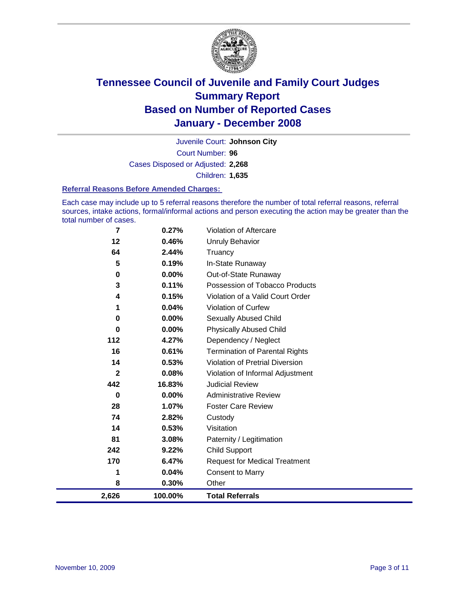

Court Number: **96** Juvenile Court: **Johnson City** Cases Disposed or Adjusted: **2,268** Children: **1,635**

#### **Referral Reasons Before Amended Charges:**

Each case may include up to 5 referral reasons therefore the number of total referral reasons, referral sources, intake actions, formal/informal actions and person executing the action may be greater than the total number of cases.

| $\overline{\mathbf{z}}$ | 0.27%    | Violation of Aftercare                 |
|-------------------------|----------|----------------------------------------|
| 12                      | 0.46%    | <b>Unruly Behavior</b>                 |
| 64                      | 2.44%    | Truancy                                |
| 5                       | 0.19%    | In-State Runaway                       |
| 0                       | $0.00\%$ | Out-of-State Runaway                   |
| 3                       | 0.11%    | Possession of Tobacco Products         |
| 4                       | 0.15%    | Violation of a Valid Court Order       |
| 1                       | 0.04%    | <b>Violation of Curfew</b>             |
| 0                       | 0.00%    | <b>Sexually Abused Child</b>           |
| $\bf{0}$                | 0.00%    | <b>Physically Abused Child</b>         |
| 112                     | 4.27%    | Dependency / Neglect                   |
| 16                      | 0.61%    | <b>Termination of Parental Rights</b>  |
| 14                      | 0.53%    | <b>Violation of Pretrial Diversion</b> |
| $\mathbf{2}$            | 0.08%    | Violation of Informal Adjustment       |
| 442                     | 16.83%   | <b>Judicial Review</b>                 |
| 0                       | 0.00%    | <b>Administrative Review</b>           |
| 28                      | 1.07%    | <b>Foster Care Review</b>              |
| 74                      | 2.82%    | Custody                                |
| 14                      | 0.53%    | Visitation                             |
| 81                      | 3.08%    | Paternity / Legitimation               |
| 242                     | 9.22%    | <b>Child Support</b>                   |
| 170                     | 6.47%    | <b>Request for Medical Treatment</b>   |
| 1                       | 0.04%    | <b>Consent to Marry</b>                |
| 8                       | 0.30%    | Other                                  |
| 2,626                   | 100.00%  | <b>Total Referrals</b>                 |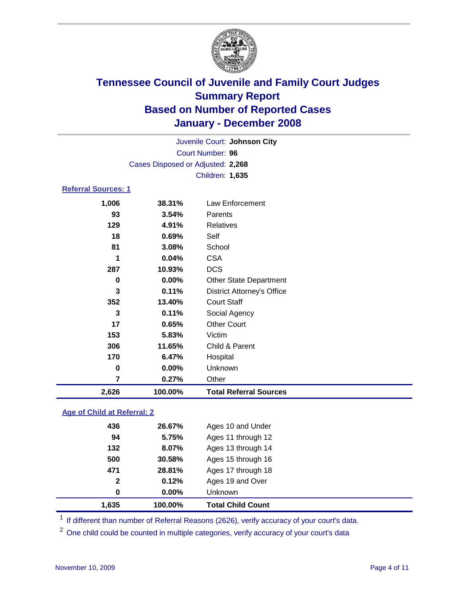

Court Number: **96** Juvenile Court: **Johnson City** Cases Disposed or Adjusted: **2,268** Children: **1,635**

### **Referral Sources: 1**

| 2,626    | 100.00% | <b>Total Referral Sources</b>     |
|----------|---------|-----------------------------------|
| 7        | 0.27%   | Other                             |
| $\bf{0}$ | 0.00%   | Unknown                           |
| 170      | 6.47%   | Hospital                          |
| 306      | 11.65%  | Child & Parent                    |
| 153      | 5.83%   | Victim                            |
| 17       | 0.65%   | <b>Other Court</b>                |
| 3        | 0.11%   | Social Agency                     |
| 352      | 13.40%  | <b>Court Staff</b>                |
| 3        | 0.11%   | <b>District Attorney's Office</b> |
| 0        | 0.00%   | <b>Other State Department</b>     |
| 287      | 10.93%  | <b>DCS</b>                        |
| 1        | 0.04%   | <b>CSA</b>                        |
| 81       | 3.08%   | School                            |
| 18       | 0.69%   | Self                              |
| 129      | 4.91%   | <b>Relatives</b>                  |
| 93       | 3.54%   | Parents                           |
| 1,006    | 38.31%  | Law Enforcement                   |
|          |         |                                   |

### **Age of Child at Referral: 2**

| 1.635        | 100.00%  | <b>Total Child Count</b> |
|--------------|----------|--------------------------|
| 0            | $0.00\%$ | <b>Unknown</b>           |
| $\mathbf{2}$ | 0.12%    | Ages 19 and Over         |
| 471          | 28.81%   | Ages 17 through 18       |
| 500          | 30.58%   | Ages 15 through 16       |
| 132          | 8.07%    | Ages 13 through 14       |
| 94           | 5.75%    | Ages 11 through 12       |
| 436          | 26.67%   | Ages 10 and Under        |

<sup>1</sup> If different than number of Referral Reasons (2626), verify accuracy of your court's data.

<sup>2</sup> One child could be counted in multiple categories, verify accuracy of your court's data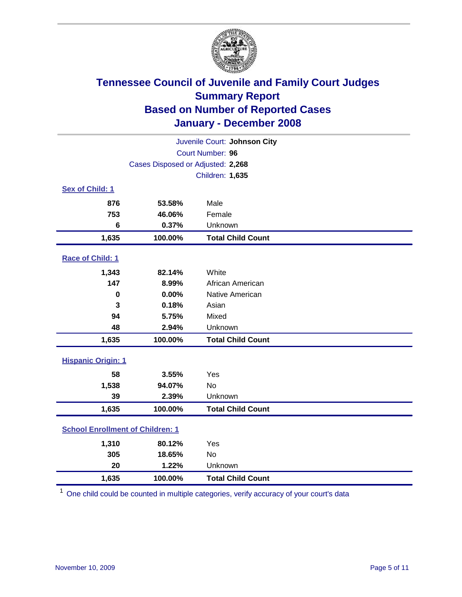

| Juvenile Court: Johnson City            |                                   |                          |  |  |
|-----------------------------------------|-----------------------------------|--------------------------|--|--|
|                                         | Court Number: 96                  |                          |  |  |
|                                         | Cases Disposed or Adjusted: 2,268 |                          |  |  |
|                                         |                                   | Children: 1,635          |  |  |
| Sex of Child: 1                         |                                   |                          |  |  |
| 876                                     | 53.58%                            | Male                     |  |  |
| 753                                     | 46.06%                            | Female                   |  |  |
| $6\phantom{1}$                          | 0.37%                             | Unknown                  |  |  |
| 1,635                                   | 100.00%                           | <b>Total Child Count</b> |  |  |
| Race of Child: 1                        |                                   |                          |  |  |
| 1,343                                   | 82.14%                            | White                    |  |  |
| 147                                     | 8.99%                             | African American         |  |  |
| $\mathbf 0$                             | 0.00%                             | Native American          |  |  |
| 3                                       | 0.18%                             | Asian                    |  |  |
| 94                                      | 5.75%                             | Mixed                    |  |  |
| 48                                      | 2.94%                             | Unknown                  |  |  |
| 1,635                                   | 100.00%                           | <b>Total Child Count</b> |  |  |
| <b>Hispanic Origin: 1</b>               |                                   |                          |  |  |
| 58                                      | 3.55%                             | Yes                      |  |  |
| 1,538                                   | 94.07%                            | <b>No</b>                |  |  |
| 39                                      | 2.39%                             | Unknown                  |  |  |
| 1,635                                   | 100.00%                           | <b>Total Child Count</b> |  |  |
| <b>School Enrollment of Children: 1</b> |                                   |                          |  |  |
| 1,310                                   | 80.12%                            | Yes                      |  |  |
| 305                                     | 18.65%                            | <b>No</b>                |  |  |
| 20                                      | 1.22%                             | Unknown                  |  |  |
| 1,635                                   | 100.00%                           | <b>Total Child Count</b> |  |  |

<sup>1</sup> One child could be counted in multiple categories, verify accuracy of your court's data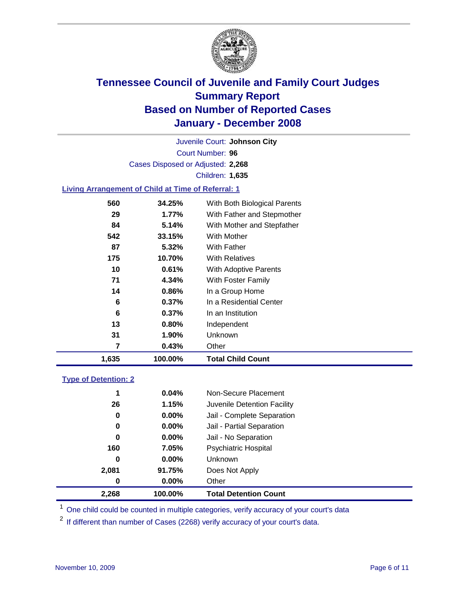

Court Number: **96** Juvenile Court: **Johnson City** Cases Disposed or Adjusted: **2,268** Children: **1,635**

### **Living Arrangement of Child at Time of Referral: 1**

| 1,635 | 100.00%  | <b>Total Child Count</b>     |
|-------|----------|------------------------------|
| 7     | 0.43%    | Other                        |
| 31    | 1.90%    | Unknown                      |
| 13    | 0.80%    | Independent                  |
| 6     | 0.37%    | In an Institution            |
| 6     | $0.37\%$ | In a Residential Center      |
| 14    | 0.86%    | In a Group Home              |
| 71    | 4.34%    | With Foster Family           |
| 10    | 0.61%    | <b>With Adoptive Parents</b> |
| 175   | 10.70%   | <b>With Relatives</b>        |
| 87    | 5.32%    | With Father                  |
| 542   | 33.15%   | With Mother                  |
| 84    | 5.14%    | With Mother and Stepfather   |
| 29    | $1.77\%$ | With Father and Stepmother   |
| 560   | 34.25%   | With Both Biological Parents |

#### **Type of Detention: 2**

| 2,268 | 100.00%  | <b>Total Detention Count</b> |  |
|-------|----------|------------------------------|--|
| 0     | 0.00%    | Other                        |  |
| 2,081 | 91.75%   | Does Not Apply               |  |
| 0     | $0.00\%$ | Unknown                      |  |
| 160   | 7.05%    | <b>Psychiatric Hospital</b>  |  |
| 0     | 0.00%    | Jail - No Separation         |  |
| 0     | 0.00%    | Jail - Partial Separation    |  |
| 0     | $0.00\%$ | Jail - Complete Separation   |  |
| 26    | 1.15%    | Juvenile Detention Facility  |  |
| 1     | 0.04%    | Non-Secure Placement         |  |
|       |          |                              |  |

<sup>1</sup> One child could be counted in multiple categories, verify accuracy of your court's data

<sup>2</sup> If different than number of Cases (2268) verify accuracy of your court's data.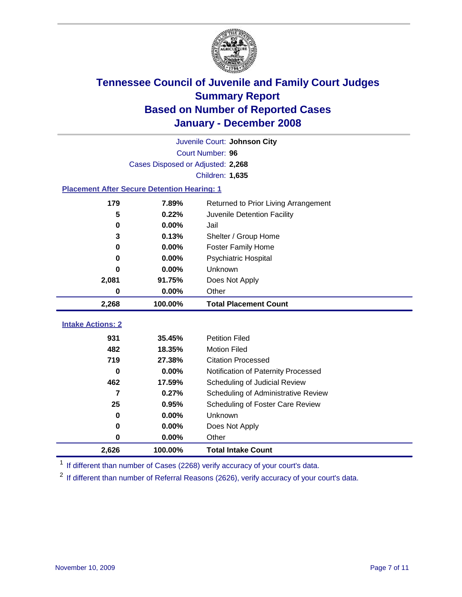

|                                                    | Juvenile Court: Johnson City      |                                      |  |  |  |
|----------------------------------------------------|-----------------------------------|--------------------------------------|--|--|--|
|                                                    | Court Number: 96                  |                                      |  |  |  |
|                                                    | Cases Disposed or Adjusted: 2,268 |                                      |  |  |  |
|                                                    |                                   | Children: 1,635                      |  |  |  |
| <b>Placement After Secure Detention Hearing: 1</b> |                                   |                                      |  |  |  |
| 179                                                | 7.89%                             | Returned to Prior Living Arrangement |  |  |  |
| 5                                                  | 0.22%                             | Juvenile Detention Facility          |  |  |  |
| $\bf{0}$                                           | 0.00%                             | Jail                                 |  |  |  |
| 3                                                  | 0.13%                             | Shelter / Group Home                 |  |  |  |
| 0                                                  | 0.00%                             | <b>Foster Family Home</b>            |  |  |  |
| 0                                                  | 0.00%                             | Psychiatric Hospital                 |  |  |  |
| U                                                  | 0.00%                             | Unknown                              |  |  |  |
| 2,081                                              | 91.75%                            | Does Not Apply                       |  |  |  |
| 0                                                  | 0.00%                             | Other                                |  |  |  |
| 2,268                                              | 100.00%                           | <b>Total Placement Count</b>         |  |  |  |
|                                                    |                                   |                                      |  |  |  |
| <b>Intake Actions: 2</b>                           |                                   |                                      |  |  |  |
| 931                                                | 35.45%                            | <b>Petition Filed</b>                |  |  |  |
| 482                                                | 18.35%                            | <b>Motion Filed</b>                  |  |  |  |
| 719                                                | 27.38%                            | <b>Citation Processed</b>            |  |  |  |
| 0                                                  | 0.00%                             | Notification of Paternity Processed  |  |  |  |
| 462                                                | 17.59%                            | Scheduling of Judicial Review        |  |  |  |
| $\overline{7}$                                     | 0.27%                             | Scheduling of Administrative Review  |  |  |  |
| 25                                                 | 0.95%                             | Scheduling of Foster Care Review     |  |  |  |
| $\bf{0}$                                           | 0.00%                             | Unknown                              |  |  |  |
| 0                                                  | 0.00%                             | Does Not Apply                       |  |  |  |
| 0                                                  | 0.00%                             | Other                                |  |  |  |
| 2,626                                              |                                   |                                      |  |  |  |

<sup>1</sup> If different than number of Cases (2268) verify accuracy of your court's data.

<sup>2</sup> If different than number of Referral Reasons (2626), verify accuracy of your court's data.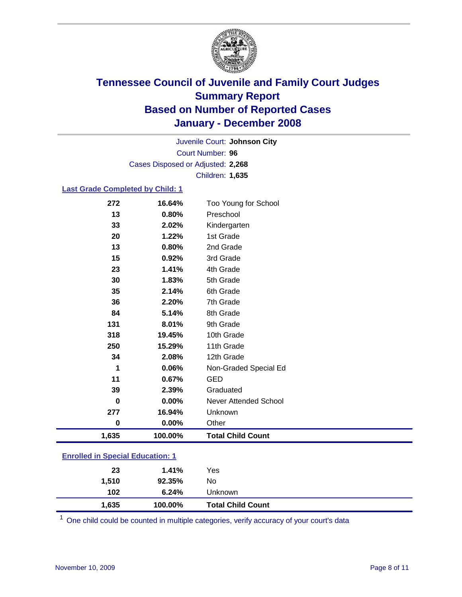

Court Number: **96** Juvenile Court: **Johnson City** Cases Disposed or Adjusted: **2,268** Children: **1,635**

#### **Last Grade Completed by Child: 1**

| 13<br>0.80%<br>Preschool<br>33<br>2.02%<br>20<br>1.22%<br>1st Grade<br>13<br>2nd Grade<br>0.80%<br>15<br>3rd Grade<br>0.92%<br>23<br>1.41%<br>4th Grade<br>30<br>1.83%<br>5th Grade | Kindergarten             |
|-------------------------------------------------------------------------------------------------------------------------------------------------------------------------------------|--------------------------|
|                                                                                                                                                                                     |                          |
|                                                                                                                                                                                     |                          |
|                                                                                                                                                                                     |                          |
|                                                                                                                                                                                     |                          |
|                                                                                                                                                                                     |                          |
|                                                                                                                                                                                     |                          |
|                                                                                                                                                                                     |                          |
| 35<br>6th Grade<br>2.14%                                                                                                                                                            |                          |
| 36<br>7th Grade<br>2.20%                                                                                                                                                            |                          |
| 8th Grade<br>84<br>5.14%                                                                                                                                                            |                          |
| 131<br>9th Grade<br>8.01%                                                                                                                                                           |                          |
| 318<br>19.45%<br>10th Grade                                                                                                                                                         |                          |
| 11th Grade<br>250<br>15.29%                                                                                                                                                         |                          |
| 34<br>12th Grade<br>2.08%                                                                                                                                                           |                          |
| 1<br>0.06%                                                                                                                                                                          | Non-Graded Special Ed    |
| 11<br>0.67%<br><b>GED</b>                                                                                                                                                           |                          |
| 39<br>Graduated<br>2.39%                                                                                                                                                            |                          |
| 0.00%<br>0                                                                                                                                                                          | Never Attended School    |
| 277<br>16.94%<br>Unknown                                                                                                                                                            |                          |
| 0.00%<br>$\bf{0}$<br>Other                                                                                                                                                          |                          |
| 1,635<br>100.00%                                                                                                                                                                    | <b>Total Child Count</b> |

### **Enrolled in Special Education: 1**

| 23    | 1.41%   | Yes                      |
|-------|---------|--------------------------|
| 1,510 | 92.35%  | No                       |
| 102   | 6.24%   | Unknown                  |
| 1,635 | 100.00% | <b>Total Child Count</b> |

<sup>1</sup> One child could be counted in multiple categories, verify accuracy of your court's data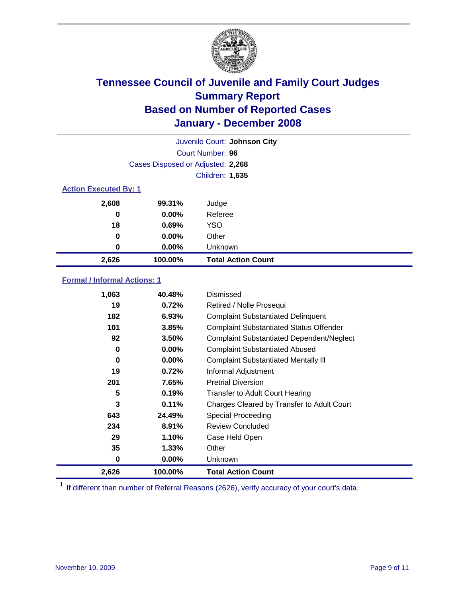

| Juvenile Court: Johnson City |                                   |                           |  |  |  |
|------------------------------|-----------------------------------|---------------------------|--|--|--|
|                              | Court Number: 96                  |                           |  |  |  |
|                              | Cases Disposed or Adjusted: 2,268 |                           |  |  |  |
|                              | Children: 1,635                   |                           |  |  |  |
|                              | <b>Action Executed By: 1</b>      |                           |  |  |  |
| 2,608                        | 99.31%                            | Judge                     |  |  |  |
| 0                            | $0.00\%$                          | Referee                   |  |  |  |
| 18                           | 0.69%                             | <b>YSO</b>                |  |  |  |
| 0                            | $0.00\%$                          | Other                     |  |  |  |
| 0                            | $0.00\%$                          | Unknown                   |  |  |  |
| 2,626                        | 100.00%                           | <b>Total Action Count</b> |  |  |  |

### **Formal / Informal Actions: 1**

| 1,063 | 40.48%   | Dismissed                                        |
|-------|----------|--------------------------------------------------|
| 19    | 0.72%    | Retired / Nolle Prosequi                         |
| 182   | 6.93%    | <b>Complaint Substantiated Delinquent</b>        |
| 101   | 3.85%    | <b>Complaint Substantiated Status Offender</b>   |
| 92    | 3.50%    | <b>Complaint Substantiated Dependent/Neglect</b> |
| 0     | $0.00\%$ | <b>Complaint Substantiated Abused</b>            |
| 0     | $0.00\%$ | <b>Complaint Substantiated Mentally III</b>      |
| 19    | 0.72%    | Informal Adjustment                              |
| 201   | 7.65%    | <b>Pretrial Diversion</b>                        |
| 5     | 0.19%    | <b>Transfer to Adult Court Hearing</b>           |
| 3     | 0.11%    | Charges Cleared by Transfer to Adult Court       |
| 643   | 24.49%   | Special Proceeding                               |
| 234   | 8.91%    | <b>Review Concluded</b>                          |
| 29    | 1.10%    | Case Held Open                                   |
| 35    | 1.33%    | Other                                            |
| 0     | $0.00\%$ | <b>Unknown</b>                                   |
| 2,626 | 100.00%  | <b>Total Action Count</b>                        |

<sup>1</sup> If different than number of Referral Reasons (2626), verify accuracy of your court's data.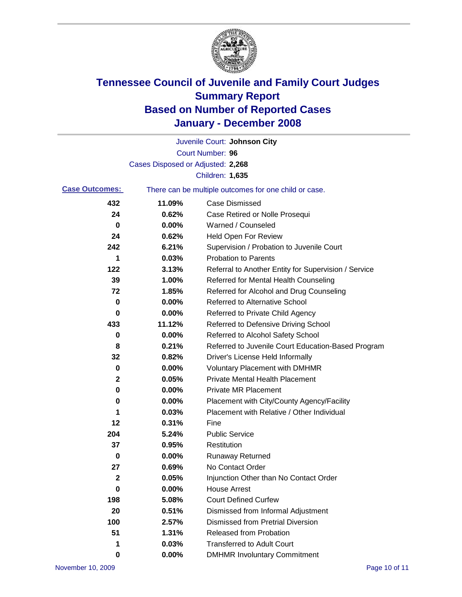

|                       |                                   | Juvenile Court: Johnson City                          |
|-----------------------|-----------------------------------|-------------------------------------------------------|
|                       |                                   | Court Number: 96                                      |
|                       | Cases Disposed or Adjusted: 2,268 |                                                       |
|                       |                                   | Children: 1,635                                       |
| <b>Case Outcomes:</b> |                                   | There can be multiple outcomes for one child or case. |
| 432                   | 11.09%                            | <b>Case Dismissed</b>                                 |
| 24                    | 0.62%                             | Case Retired or Nolle Prosequi                        |
| 0                     | 0.00%                             | Warned / Counseled                                    |
| 24                    | 0.62%                             | <b>Held Open For Review</b>                           |
| 242                   | 6.21%                             | Supervision / Probation to Juvenile Court             |
| 1                     | 0.03%                             | <b>Probation to Parents</b>                           |
| 122                   | 3.13%                             | Referral to Another Entity for Supervision / Service  |
| 39                    | 1.00%                             | Referred for Mental Health Counseling                 |
| 72                    | 1.85%                             | Referred for Alcohol and Drug Counseling              |
| 0                     | 0.00%                             | <b>Referred to Alternative School</b>                 |
| 0                     | 0.00%                             | Referred to Private Child Agency                      |
| 433                   | 11.12%                            | Referred to Defensive Driving School                  |
| 0                     | 0.00%                             | Referred to Alcohol Safety School                     |
| 8                     | 0.21%                             | Referred to Juvenile Court Education-Based Program    |
| 32                    | 0.82%                             | Driver's License Held Informally                      |
| 0                     | 0.00%                             | <b>Voluntary Placement with DMHMR</b>                 |
| 2                     | 0.05%                             | <b>Private Mental Health Placement</b>                |
| 0                     | 0.00%                             | <b>Private MR Placement</b>                           |
| 0                     | 0.00%                             | Placement with City/County Agency/Facility            |
| 1                     | 0.03%                             | Placement with Relative / Other Individual            |
| 12                    | 0.31%                             | Fine                                                  |
| 204                   | 5.24%                             | <b>Public Service</b>                                 |
| 37                    | 0.95%                             | Restitution                                           |
| 0                     | 0.00%                             | <b>Runaway Returned</b>                               |
| 27                    | 0.69%                             | No Contact Order                                      |
| 2                     | 0.05%                             | Injunction Other than No Contact Order                |
| 0                     | 0.00%                             | <b>House Arrest</b>                                   |
| 198                   | 5.08%                             | <b>Court Defined Curfew</b>                           |
| 20                    | 0.51%                             | Dismissed from Informal Adjustment                    |
| 100                   | 2.57%                             | <b>Dismissed from Pretrial Diversion</b>              |
| 51                    | 1.31%                             | <b>Released from Probation</b>                        |
| 1                     | 0.03%                             | <b>Transferred to Adult Court</b>                     |
| 0                     | 0.00%                             | <b>DMHMR Involuntary Commitment</b>                   |